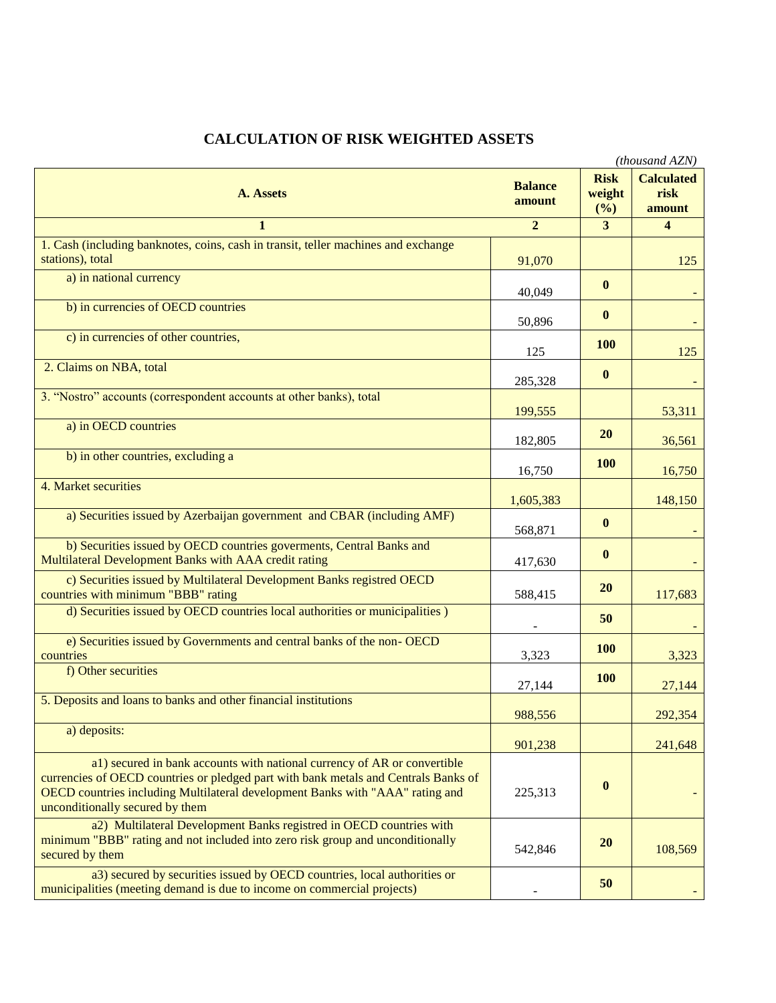| (thousand AZN)                                                                                                                                                                                                                                                                      |                          |                              |                                     |
|-------------------------------------------------------------------------------------------------------------------------------------------------------------------------------------------------------------------------------------------------------------------------------------|--------------------------|------------------------------|-------------------------------------|
| A. Assets                                                                                                                                                                                                                                                                           | <b>Balance</b><br>amount | <b>Risk</b><br>weight<br>(%) | <b>Calculated</b><br>risk<br>amount |
| 1                                                                                                                                                                                                                                                                                   | $\overline{2}$           | 3                            | $\overline{4}$                      |
| 1. Cash (including banknotes, coins, cash in transit, teller machines and exchange<br>stations), total                                                                                                                                                                              | 91,070                   |                              | 125                                 |
| a) in national currency                                                                                                                                                                                                                                                             | 40,049                   | $\bf{0}$                     |                                     |
| b) in currencies of OECD countries                                                                                                                                                                                                                                                  | 50,896                   | $\bf{0}$                     |                                     |
| c) in currencies of other countries,                                                                                                                                                                                                                                                | 125                      | <b>100</b>                   | 125                                 |
| 2. Claims on NBA, total                                                                                                                                                                                                                                                             | 285,328                  | $\bf{0}$                     |                                     |
| 3. "Nostro" accounts (correspondent accounts at other banks), total                                                                                                                                                                                                                 | 199,555                  |                              | 53,311                              |
| a) in OECD countries                                                                                                                                                                                                                                                                | 182,805                  | 20                           | 36,561                              |
| b) in other countries, excluding a                                                                                                                                                                                                                                                  | 16,750                   | <b>100</b>                   | 16,750                              |
| 4. Market securities                                                                                                                                                                                                                                                                | 1,605,383                |                              | 148,150                             |
| a) Securities issued by Azerbaijan government and CBAR (including AMF)                                                                                                                                                                                                              | 568,871                  | $\bf{0}$                     |                                     |
| b) Securities issued by OECD countries governments, Central Banks and<br>Multilateral Development Banks with AAA credit rating                                                                                                                                                      | 417,630                  | $\bf{0}$                     |                                     |
| c) Securities issued by Multilateral Development Banks registred OECD<br>countries with minimum "BBB" rating                                                                                                                                                                        | 588,415                  | <b>20</b>                    | 117,683                             |
| d) Securities issued by OECD countries local authorities or municipalities )                                                                                                                                                                                                        |                          | 50                           |                                     |
| e) Securities issued by Governments and central banks of the non-OECD<br>countries                                                                                                                                                                                                  | 3,323                    | <b>100</b>                   | 3,323                               |
| f) Other securities                                                                                                                                                                                                                                                                 | 27,144                   | <b>100</b>                   | 27,144                              |
| 5. Deposits and loans to banks and other financial institutions                                                                                                                                                                                                                     | 988,556                  |                              | 292,354                             |
| a) deposits:                                                                                                                                                                                                                                                                        | 901,238                  |                              | 241,648                             |
| a1) secured in bank accounts with national currency of AR or convertible<br>currencies of OECD countries or pledged part with bank metals and Centrals Banks of<br>OECD countries including Multilateral development Banks with "AAA" rating and<br>unconditionally secured by them | 225,313                  | $\bf{0}$                     |                                     |
| a2) Multilateral Development Banks registred in OECD countries with<br>minimum "BBB" rating and not included into zero risk group and unconditionally<br>secured by them                                                                                                            | 542,846                  | 20                           | 108,569                             |
| a3) secured by securities issued by OECD countries, local authorities or<br>municipalities (meeting demand is due to income on commercial projects)                                                                                                                                 |                          | 50                           |                                     |

## **CALCULATION OF RISK WEIGHTED ASSETS**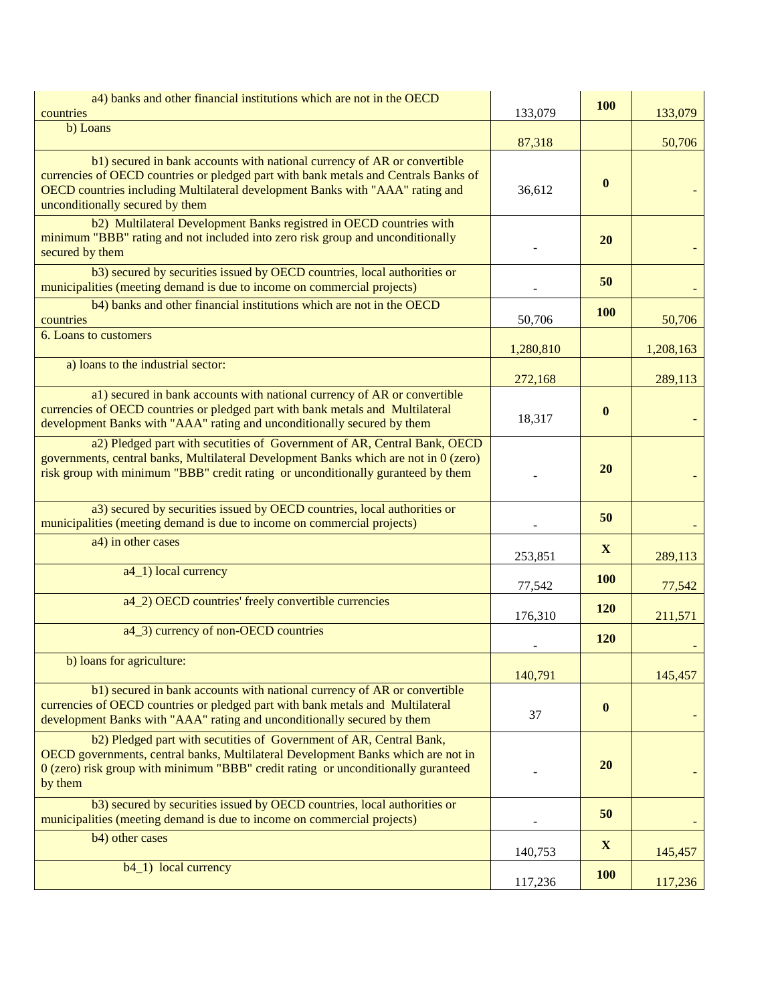| a4) banks and other financial institutions which are not in the OECD<br>countries                                                                                                                                                                                                   | 133,079          | 100          | 133,079   |
|-------------------------------------------------------------------------------------------------------------------------------------------------------------------------------------------------------------------------------------------------------------------------------------|------------------|--------------|-----------|
| b) Loans                                                                                                                                                                                                                                                                            |                  |              |           |
| b1) secured in bank accounts with national currency of AR or convertible<br>currencies of OECD countries or pledged part with bank metals and Centrals Banks of<br>OECD countries including Multilateral development Banks with "AAA" rating and<br>unconditionally secured by them | 87,318<br>36,612 | $\mathbf{0}$ | 50,706    |
| b2) Multilateral Development Banks registred in OECD countries with<br>minimum "BBB" rating and not included into zero risk group and unconditionally<br>secured by them                                                                                                            |                  | 20           |           |
| b3) secured by securities issued by OECD countries, local authorities or<br>municipalities (meeting demand is due to income on commercial projects)                                                                                                                                 |                  | 50           |           |
| b4) banks and other financial institutions which are not in the OECD<br>countries                                                                                                                                                                                                   | 50,706           | 100          | 50,706    |
| 6. Loans to customers                                                                                                                                                                                                                                                               | 1,280,810        |              | 1,208,163 |
| a) loans to the industrial sector:                                                                                                                                                                                                                                                  | 272,168          |              | 289,113   |
| a1) secured in bank accounts with national currency of AR or convertible<br>currencies of OECD countries or pledged part with bank metals and Multilateral<br>development Banks with "AAA" rating and unconditionally secured by them                                               | 18,317           | $\mathbf{0}$ |           |
| a2) Pledged part with secutities of Government of AR, Central Bank, OECD<br>governments, central banks, Multilateral Development Banks which are not in 0 (zero)<br>risk group with minimum "BBB" credit rating or unconditionally guranteed by them                                |                  | 20           |           |
| a3) secured by securities issued by OECD countries, local authorities or<br>municipalities (meeting demand is due to income on commercial projects)                                                                                                                                 |                  | 50           |           |
| a4) in other cases                                                                                                                                                                                                                                                                  | 253,851          | X            | 289,113   |
| a4_1) local currency                                                                                                                                                                                                                                                                | 77,542           | 100          | 77,542    |
| a4_2) OECD countries' freely convertible currencies                                                                                                                                                                                                                                 | 176,310          | 120          | 211,571   |
| a4_3) currency of non-OECD countries                                                                                                                                                                                                                                                |                  | <b>120</b>   |           |
| b) loans for agriculture:                                                                                                                                                                                                                                                           | 140,791          |              | 145,457   |
| b1) secured in bank accounts with national currency of AR or convertible<br>currencies of OECD countries or pledged part with bank metals and Multilateral<br>development Banks with "AAA" rating and unconditionally secured by them                                               | 37               | $\bf{0}$     |           |
| b2) Pledged part with secutities of Government of AR, Central Bank,<br>OECD governments, central banks, Multilateral Development Banks which are not in<br>0 (zero) risk group with minimum "BBB" credit rating or unconditionally guranteed<br>by them                             |                  | 20           |           |
| b3) secured by securities issued by OECD countries, local authorities or<br>municipalities (meeting demand is due to income on commercial projects)                                                                                                                                 |                  | 50           |           |
| b4) other cases                                                                                                                                                                                                                                                                     | 140,753          | $\mathbf{X}$ | 145,457   |
| $b4_1)$ local currency                                                                                                                                                                                                                                                              | 117,236          | <b>100</b>   | 117,236   |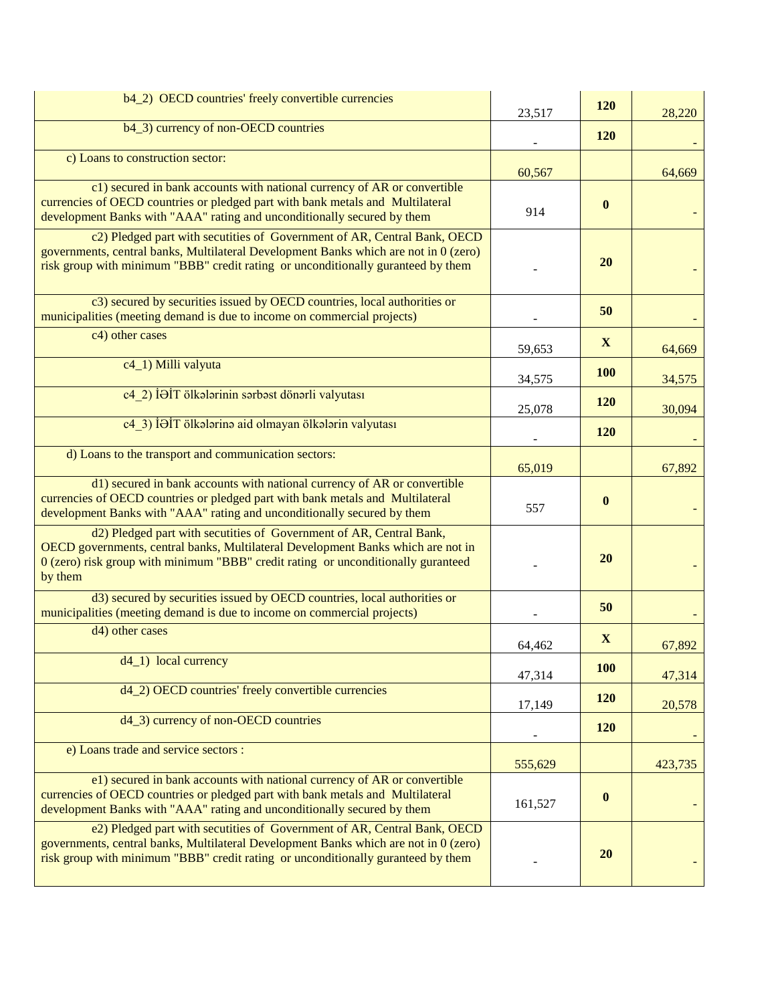| b4_2) OECD countries' freely convertible currencies                                                                                                                                                                                                     | 23,517  | 120          | 28,220  |
|---------------------------------------------------------------------------------------------------------------------------------------------------------------------------------------------------------------------------------------------------------|---------|--------------|---------|
| b4_3) currency of non-OECD countries                                                                                                                                                                                                                    |         | 120          |         |
| c) Loans to construction sector:                                                                                                                                                                                                                        | 60,567  |              | 64,669  |
| c1) secured in bank accounts with national currency of AR or convertible<br>currencies of OECD countries or pledged part with bank metals and Multilateral<br>development Banks with "AAA" rating and unconditionally secured by them                   | 914     | $\mathbf{0}$ |         |
| c2) Pledged part with secutities of Government of AR, Central Bank, OECD<br>governments, central banks, Multilateral Development Banks which are not in 0 (zero)<br>risk group with minimum "BBB" credit rating or unconditionally guranteed by them    |         | 20           |         |
| c3) secured by securities issued by OECD countries, local authorities or<br>municipalities (meeting demand is due to income on commercial projects)                                                                                                     |         | 50           |         |
| c4) other cases                                                                                                                                                                                                                                         | 59,653  | X            | 64,669  |
| c4_1) Milli valyuta                                                                                                                                                                                                                                     | 34,575  | <b>100</b>   | 34,575  |
| c4 2) İƏİT ölkələrinin sərbəst dönərli valyutası                                                                                                                                                                                                        | 25,078  | 120          | 30,094  |
| c4 3) İƏİT ölkələrinə aid olmayan ölkələrin valyutası                                                                                                                                                                                                   |         | 120          |         |
| d) Loans to the transport and communication sectors:                                                                                                                                                                                                    | 65,019  |              | 67,892  |
| d1) secured in bank accounts with national currency of AR or convertible<br>currencies of OECD countries or pledged part with bank metals and Multilateral<br>development Banks with "AAA" rating and unconditionally secured by them                   | 557     | $\mathbf{0}$ |         |
| d2) Pledged part with secutities of Government of AR, Central Bank,<br>OECD governments, central banks, Multilateral Development Banks which are not in<br>0 (zero) risk group with minimum "BBB" credit rating or unconditionally guranteed<br>by them |         | 20           |         |
| d3) secured by securities issued by OECD countries, local authorities or<br>municipalities (meeting demand is due to income on commercial projects)                                                                                                     |         | 50           |         |
| d4) other cases                                                                                                                                                                                                                                         | 64,462  | X            | 67,892  |
| $d4$ 1) local currency                                                                                                                                                                                                                                  | 47,314  | <b>100</b>   | 47,314  |
| d4_2) OECD countries' freely convertible currencies                                                                                                                                                                                                     | 17,149  | 120          | 20,578  |
| d4_3) currency of non-OECD countries                                                                                                                                                                                                                    |         | 120          |         |
| e) Loans trade and service sectors :                                                                                                                                                                                                                    | 555,629 |              | 423,735 |
| e1) secured in bank accounts with national currency of AR or convertible<br>currencies of OECD countries or pledged part with bank metals and Multilateral<br>development Banks with "AAA" rating and unconditionally secured by them                   | 161,527 | $\bf{0}$     |         |
| e2) Pledged part with secutities of Government of AR, Central Bank, OECD<br>governments, central banks, Multilateral Development Banks which are not in 0 (zero)<br>risk group with minimum "BBB" credit rating or unconditionally guranteed by them    |         | <b>20</b>    |         |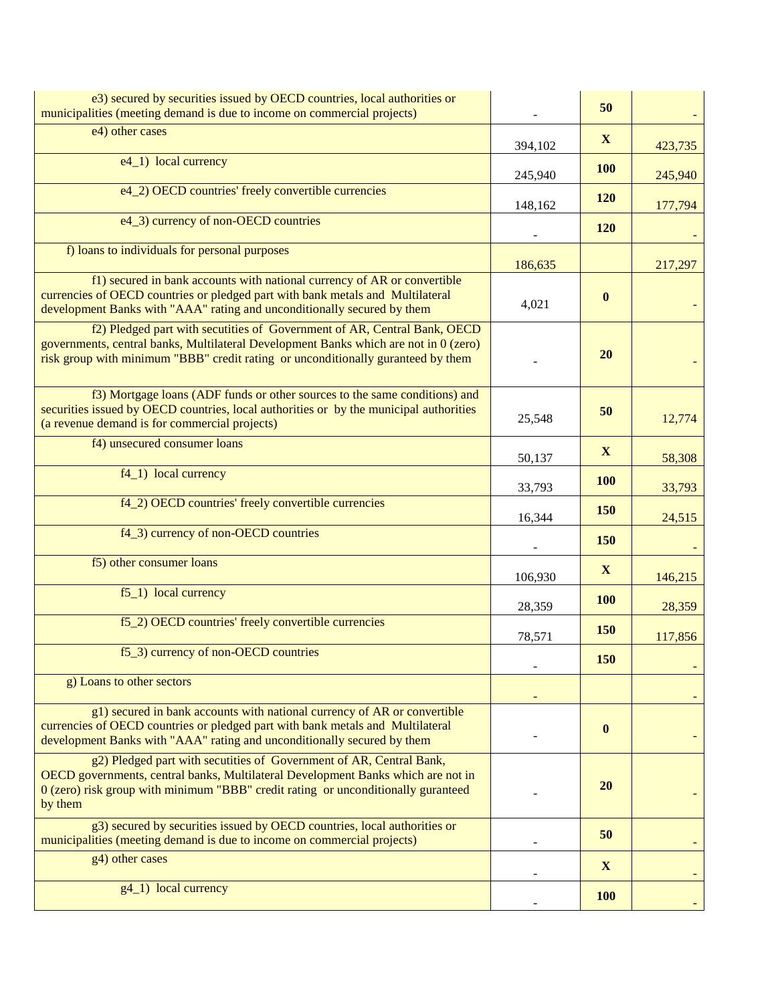| e3) secured by securities issued by OECD countries, local authorities or<br>municipalities (meeting demand is due to income on commercial projects)                                                                                                     |         | 50         |         |
|---------------------------------------------------------------------------------------------------------------------------------------------------------------------------------------------------------------------------------------------------------|---------|------------|---------|
| e4) other cases                                                                                                                                                                                                                                         | 394,102 | X          | 423,735 |
| e4_1) local currency                                                                                                                                                                                                                                    | 245,940 | <b>100</b> | 245,940 |
| e4_2) OECD countries' freely convertible currencies                                                                                                                                                                                                     | 148,162 | 120        | 177,794 |
| e4_3) currency of non-OECD countries                                                                                                                                                                                                                    |         | 120        |         |
| f) loans to individuals for personal purposes                                                                                                                                                                                                           | 186,635 |            | 217,297 |
| f1) secured in bank accounts with national currency of AR or convertible<br>currencies of OECD countries or pledged part with bank metals and Multilateral<br>development Banks with "AAA" rating and unconditionally secured by them                   | 4,021   | $\bf{0}$   |         |
| f2) Pledged part with secutities of Government of AR, Central Bank, OECD<br>governments, central banks, Multilateral Development Banks which are not in 0 (zero)<br>risk group with minimum "BBB" credit rating or unconditionally guranteed by them    |         | 20         |         |
| f3) Mortgage loans (ADF funds or other sources to the same conditions) and<br>securities issued by OECD countries, local authorities or by the municipal authorities<br>(a revenue demand is for commercial projects)                                   | 25,548  | 50         | 12,774  |
| f4) unsecured consumer loans                                                                                                                                                                                                                            | 50,137  | X          | 58,308  |
| $f4_1)$ local currency                                                                                                                                                                                                                                  | 33,793  | <b>100</b> | 33,793  |
| f4_2) OECD countries' freely convertible currencies                                                                                                                                                                                                     | 16,344  | 150        | 24,515  |
| f4_3) currency of non-OECD countries                                                                                                                                                                                                                    |         | 150        |         |
| f5) other consumer loans                                                                                                                                                                                                                                | 106,930 | X          | 146,215 |
| $f5_1$ ) local currency                                                                                                                                                                                                                                 | 28,359  | <b>100</b> | 28,359  |
| f5_2) OECD countries' freely convertible currencies                                                                                                                                                                                                     | 78,571  | <b>150</b> | 117,856 |
| f5_3) currency of non-OECD countries                                                                                                                                                                                                                    |         | 150        |         |
| g) Loans to other sectors                                                                                                                                                                                                                               |         |            |         |
| g1) secured in bank accounts with national currency of AR or convertible<br>currencies of OECD countries or pledged part with bank metals and Multilateral<br>development Banks with "AAA" rating and unconditionally secured by them                   |         | $\bf{0}$   |         |
| g2) Pledged part with secutities of Government of AR, Central Bank,<br>OECD governments, central banks, Multilateral Development Banks which are not in<br>0 (zero) risk group with minimum "BBB" credit rating or unconditionally guranteed<br>by them |         | <b>20</b>  |         |
| g3) secured by securities issued by OECD countries, local authorities or<br>municipalities (meeting demand is due to income on commercial projects)                                                                                                     |         | 50         |         |
| g4) other cases                                                                                                                                                                                                                                         |         | X          |         |
| $g4_1$ ) local currency                                                                                                                                                                                                                                 |         | <b>100</b> |         |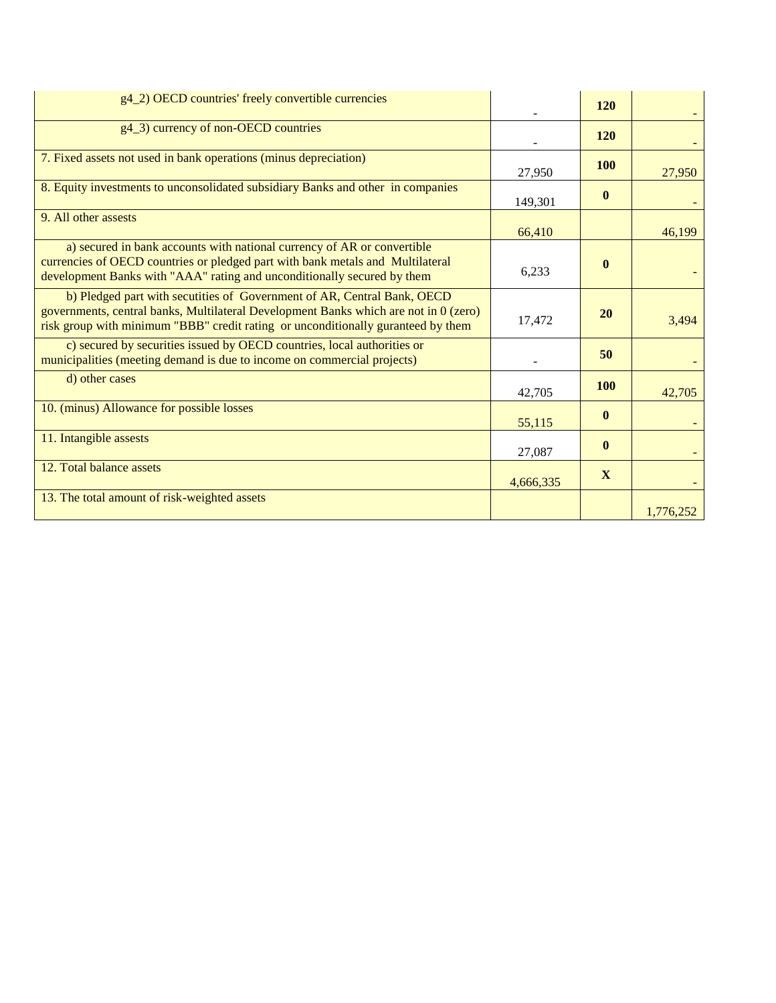| g4_2) OECD countries' freely convertible currencies                                                                                                                                                                                                 |           | <b>120</b>   |           |
|-----------------------------------------------------------------------------------------------------------------------------------------------------------------------------------------------------------------------------------------------------|-----------|--------------|-----------|
| g4_3) currency of non-OECD countries                                                                                                                                                                                                                |           | <b>120</b>   |           |
| 7. Fixed assets not used in bank operations (minus depreciation)                                                                                                                                                                                    | 27,950    | 100          | 27,950    |
| 8. Equity investments to unconsolidated subsidiary Banks and other in companies                                                                                                                                                                     | 149,301   | $\mathbf{0}$ |           |
| 9. All other assests                                                                                                                                                                                                                                | 66,410    |              | 46,199    |
| a) secured in bank accounts with national currency of AR or convertible<br>currencies of OECD countries or pledged part with bank metals and Multilateral<br>development Banks with "AAA" rating and unconditionally secured by them                | 6,233     | $\mathbf{0}$ |           |
| b) Pledged part with secutities of Government of AR, Central Bank, OECD<br>governments, central banks, Multilateral Development Banks which are not in 0 (zero)<br>risk group with minimum "BBB" credit rating or unconditionally guranteed by them | 17,472    | 20           | 3,494     |
| c) secured by securities issued by OECD countries, local authorities or<br>municipalities (meeting demand is due to income on commercial projects)                                                                                                  |           | 50           |           |
| d) other cases                                                                                                                                                                                                                                      | 42,705    | 100          | 42,705    |
| 10. (minus) Allowance for possible losses                                                                                                                                                                                                           | 55,115    | $\mathbf{0}$ |           |
| 11. Intangible assests                                                                                                                                                                                                                              | 27,087    | $\mathbf{0}$ |           |
| 12. Total balance assets                                                                                                                                                                                                                            | 4,666,335 | X            |           |
| 13. The total amount of risk-weighted assets                                                                                                                                                                                                        |           |              | 1,776,252 |